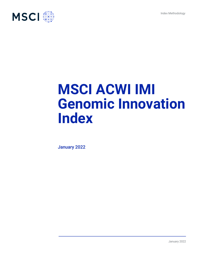Index Methodology



# **MSCI ACWI IMI Genomic Innovation Index**

January 2022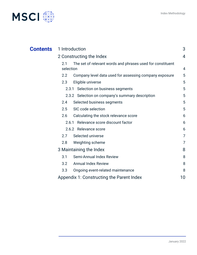

| <b>Contents</b> | 1 Introduction                                                                 | 3  |
|-----------------|--------------------------------------------------------------------------------|----|
|                 | 2 Constructing the Index                                                       |    |
|                 | 2.1<br>The set of relevant words and phrases used for constituent<br>selection | 4  |
|                 | Company level data used for assessing company exposure<br>$2.2\,$              | 5  |
|                 | 2.3<br>Eligible universe                                                       | 5  |
|                 | 2.3.1 Selection on business segments                                           | 5  |
|                 | 2.3.2 Selection on company's summary description                               | 5  |
|                 | Selected business segments<br>2.4                                              | 5  |
|                 | SIC code selection<br>2.5                                                      | 5  |
|                 | Calculating the stock relevance score<br>2.6                                   | 6  |
|                 | Relevance score discount factor<br>2.6.1                                       | 6  |
|                 | 2.6.2 Relevance score                                                          | 6  |
|                 | Selected universe<br>2.7                                                       | 7  |
|                 | Weighting scheme<br>2.8                                                        | 7  |
|                 | 3 Maintaining the Index                                                        | 8  |
|                 | Semi-Annual Index Review<br>3.1                                                | 8  |
|                 | <b>Annual Index Review</b><br>3.2                                              | 8  |
|                 | 3.3<br>Ongoing event-related maintenance                                       | 8  |
|                 | Appendix 1: Constructing the Parent Index                                      | 10 |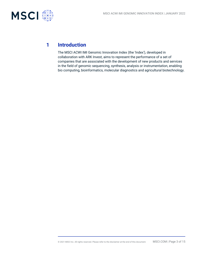

# **1 Introduction**

The MSCI ACWI IMI Genomic Innovation Index (the 'Index'), developed in collaboration with ARK Invest, aims to represent the performance of a set of companies that are associated with the development of new products and services in the field of genomic sequencing, synthesis, analysis or instrumentation, enabling bio computing, bioinformatics, molecular diagnostics and agricultural biotechnology.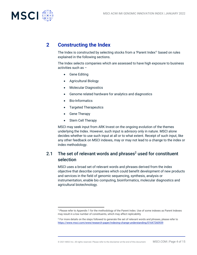

# **2 Constructing the Index**

The Index is constructed by selecting stocks from a 'Parent Index'<sup>1</sup> based on rules explained in the following sections.

The Index selects companies which are assessed to have high exposure to business activities such as –

- Gene Editing
- Agricultural Biology
- Molecular Diagnostics
- Genome related hardware for analytics and diagnostics
- Bio-Informatics
- Targeted Therapeutics
- Gene Therapy
- Stem Cell Therapy

MSCI may seek input from ARK Invest on the ongoing evolution of the themes underlying the Index. However, such input is advisory only in nature. MSCI alone decides whether to use such input at all or to what extent. Receipt of such input, like any other feedback on MSCI indexes, may or may not lead to a change to the index or index methodology.

# 2.1 The set of relevant words and phrases<sup>2</sup> used for constituent selection

MSCI uses a broad set of relevant words and phrases derived from the index objective that describe companies which could benefit development of new products and services in the field of genomic sequencing, synthesis, analysis or instrumentation, enable bio computing, bioinformatics, molecular diagnostics and agricultural biotechnology.

<sup>1</sup> Please refer to Appendix 1 for the methodology of the Parent Index. Use of some indexes as Parent Indexes may result in a low number of constituents, which may affect replicability

<sup>&</sup>lt;sup>2</sup> For more details on the steps followed to generate the set of relevant words and phrases, please refer to <https://www.msci.com/www/research-paper/indexing-change-understanding/01647260939>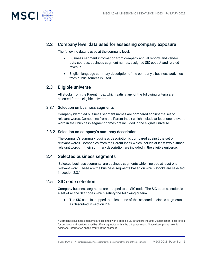

## 2.2 Company level data used for assessing company exposure

The following data is used at the company level:

- Business segment information from company annual reports and vendor data sources: business segment names, assigned SIC codes <sup>3</sup> and related revenue.
- English language summary description of the company's business activities from public sources is used.

## 2.3 Eligible universe

All stocks from the Parent Index which satisfy any of the following criteria are selected for the eligible universe.

#### 2.3.1 Selection on business segments

Company identified business segment names are compared against the set of relevant words. Companies from the Parent Index which include at least one relevant word in their business segment names are included in the eligible universe.

#### 2.3.2 Selection on company's summary description

The company's summary business description is compared against the set of relevant words. Companies from the Parent Index which include at least two distinct relevant words in their summary description are included in the eligible universe.

## 2.4 Selected business segments

'Selected business segments' are business segments which include at least one relevant word. These are the business segments based on which stocks are selected in section 2.3.1.

## 2.5 SIC code selection

Company business segments are mapped to an SIC code. The SIC code selection is a set of all the SIC codes which satisfy the following criteria

• The SIC code is mapped to at least one of the 'selected business segments' as described in section 2.4.

<sup>3</sup> Company's business segments are assigned with a specific SIC (Standard Industry Classification) description for products and services, used by official agencies within the US government. These descriptions provide additional information on the nature of the segment.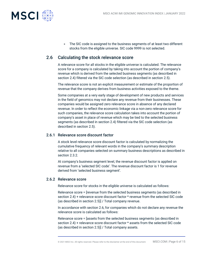

• The SIC code is assigned to the business segments of at least two different stocks from the eligible universe. SIC code 9999 is not selected.

## 2.6 Calculating the stock relevance score

A relevance score for all stocks in the eligible universe is calculated. The relevance score for a company is calculated by taking into account the portion of company's revenue which is derived from the selected business segments (as described in section 2.4) filtered via the SIC code selection (as described in section 2.5).

The relevance score is not an explicit measurement or estimate of the proportion of revenue that the company derives from business activities exposed to the theme.

Some companies at a very early stage of development of new products and services in the field of genomics may not declare any revenue from their businesses. These companies would be assigned zero relevance score in absence of any declared revenue. In order to reflect the economic linkage via a non-zero relevance score for such companies, the relevance score calculation takes into account the portion of company's asset in place of revenue which may be tied to the selected business segments (as described in section 2.4) filtered via the SIC code selection (as described in section 2.5).

#### 2.6.1 Relevance score discount factor

A stock level relevance score discount factor is calculated by normalizing the cumulative frequency of relevant words in the company's summary description relative to all companies selected on summary business descriptions as described in section 2.3.2.

At company's business segment level, the revenue discount factor is applied on revenue from a 'selected SIC code'. The revenue discount factor is 1 for revenue derived from 'selected business segment'.

#### 2.6.2 Relevance score

Relevance score for stocks in the eligible universe is calculated as follows:

Relevance score = [revenue from the selected business segments (as described in section 2.4) + relevance score discount factor \* revenue from the selected SIC code (as described in section 2.5)] / Total company revenue.

In accordance with section 2.6, for companies which do not declare any revenue the relevance score is calculated as follows:

Relevance score = [assets from the selected business segments (as described in section 2.4) + relevance score discount factor \* assets from the selected SIC code (as described in section 2.5)] / Total company assets.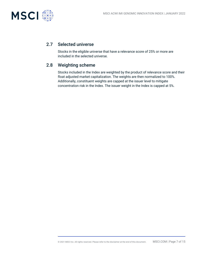

## 2.7 Selected universe

Stocks in the eligible universe that have a relevance score of 25% or more are included in the selected universe.

## 2.8 Weighting scheme

Stocks included in the Index are weighted by the product of relevance score and their float adjusted market capitalization. The weights are then normalized to 100%. Additionally, constituent weights are capped at the issuer level to mitigate concentration risk in the Index. The issuer weight in the Index is capped at 5%.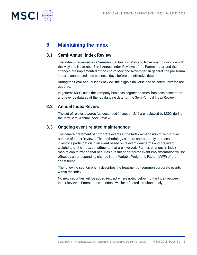

# **3 Maintaining the Index**

## 3.1 Semi-Annual Index Review

The index is reviewed on a Semi-Annual basis in May and November to coincide with the May and November Semi-Annual Index Reviews of the Parent Index, and the changes are implemented at the end of May and November. In general, the pro forma index is announced nine business days before the effective date.

During the Semi-Annual Index Review, the eligible universe and selected universe are updated.

In general, MSCI uses the company business segment names, business description and revenue data as of the rebalancing date for the Semi-Annual Index Review.

## 3.2 Annual Index Review

The set of relevant words (as described in section 2.1) are reviewed by MSCI during the May Semi-Annual Index Review.

## 3.3 Ongoing event-related maintenance

The general treatment of corporate events in the Index aims to minimize turnover outside of Index Reviews. The methodology aims to appropriately represent an investor's participation in an event based on relevant deal terms and pre-event weighting of the index constituents that are involved. Further, changes in Index market capitalization that occur as a result of corporate event implementation will be offset by a corresponding change in the Variable Weighting Factor (VWF) of the constituent.

The following section briefly describes the treatment of common corporate events within the index.

No new securities will be added (except where noted below) to the Index between Index Reviews. Parent Index deletions will be reflected simultaneously.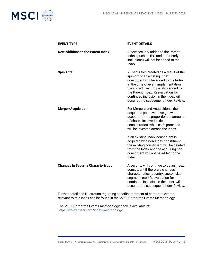

| <b>EVENT TYPE</b>                          | <b>EVENT DETAILS</b>                                                                                                                                                                                                                                                                                                             |
|--------------------------------------------|----------------------------------------------------------------------------------------------------------------------------------------------------------------------------------------------------------------------------------------------------------------------------------------------------------------------------------|
| <b>New additions to the Parent Index</b>   | A new security added to the Parent<br>Index (such as IPO and other early<br>inclusions) will not be added to the<br>Index.                                                                                                                                                                                                       |
| <b>Spin-Offs</b>                           | All securities created as a result of the<br>spin-off of an existing Index<br>constituent will be added to the Index<br>at the time of event implementation if<br>the spin-off security is also added to<br>the Parent Index. Reevaluation for<br>continued inclusion in the Index will<br>occur at the subsequent Index Review. |
| <b>Merger/Acquisition</b>                  | For Mergers and Acquisitions, the<br>acquirer's post event weight will<br>account for the proportionate amount<br>of shares involved in deal<br>consideration, while cash proceeds<br>will be invested across the Index.                                                                                                         |
|                                            | If an existing Index constituent is<br>acquired by a non-Index constituent,<br>the existing constituent will be deleted<br>from the Index and the acquiring non-<br>constituent will not be added to the<br>Index.                                                                                                               |
| <b>Changes in Security Characteristics</b> | A security will continue to be an Index<br>constituent if there are changes in<br>characteristics (country, sector, size<br>segment, etc.) Reevaluation for<br>continued inclusion in the Index will<br>occur at the subsequent Index Review.                                                                                    |

Further detail and illustration regarding specific treatment of corporate events relevant to this Index can be found in the MSCI Corporate Events Methodology.

The MSCI Corporate Events methodology book is available at: [https://www.msci.com/index-methodology.](https://www.msci.com/index-methodology)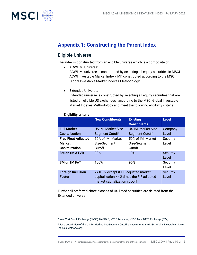

# **Appendix 1: Constructing the Parent Index**

# Eligible Universe

The index is constructed from an eligible universe which is a composite of:

• ACWI IMI Universe:

ACWI IMI universe is constructed by selecting all equity securities in MSCI ACWI Investable Market Index (IMI) constructed according to the MSCI Global Investable Market Indexes Methodology

• Extended Universe:

Extended universe is constructed by selecting all equity securities that are listed on eligible US exchanges $4$  according to the MSCI Global Investable Market Indexes Methodology and meet the following eligibility criteria:

|                                           | <b>New Constituents</b>                                                                                               | <b>Existing</b><br><b>Constituents</b> | <b>Level</b>             |
|-------------------------------------------|-----------------------------------------------------------------------------------------------------------------------|----------------------------------------|--------------------------|
| <b>Full Market</b>                        | <b>US IMI Market Size-</b>                                                                                            | <b>US IMI Market Size-</b>             | Company                  |
| <b>Capitalization</b>                     | Segment Cutoff <sup>5</sup>                                                                                           | <b>Segment Cutoff</b>                  | Level                    |
| <b>Free Float Adjusted</b>                | 50% of IMI Market                                                                                                     | 50% of IMI Market                      | Security                 |
| <b>Market</b>                             | Size-Segment                                                                                                          | Size-Segment                           | Level                    |
| <b>Capitalization</b>                     | Cutoff                                                                                                                | Cutoff                                 |                          |
| <b>3M or 1M ATVR</b>                      | 30%                                                                                                                   | 10%                                    | <b>Security</b><br>Level |
| 3M or 1M FoT                              | 100%                                                                                                                  | 95%                                    | Security<br>Level        |
| <b>Foreign Inclusion</b><br><b>Factor</b> | >= 0.15, except if FIF adjusted market<br>capitalization >= 2 times the FIF adjusted<br>market capitalization cut-off |                                        | <b>Security</b><br>Level |

#### **Eligibility criteria**

Further all preferred share classes of US listed securities are deleted from the Extended universe.

<sup>4</sup> New York Stock Exchange (NYSE), NASDAQ, NYSE American, NYSE Arca, BATS Exchange (BZX)

<sup>5</sup> For a description of the US IMI Market Size-Segment Cutoff, please refer to the MSCI Global Investable Market Indexes Methodology.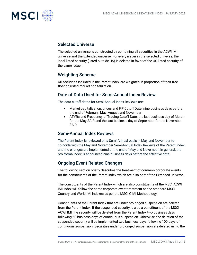

## Selected Universe

The selected universe is constructed by combining all securities in the ACWI IMI universe and the Extended universe. For every issuer in the selected universe, the local listed security (listed outside US) is deleted in favor of the US listed security of the same issuer.

## Weighting Scheme

All securities included in the Parent Index are weighted in proportion of their free float-adjusted market capitalization.

## Date of Data Used for Semi-Annual Index Review

The data cutoff dates for Semi-Annual Index Reviews are:

- Market capitalization, prices and FIF Cutoff Date: nine business days before the end of February, May, August and November.
- ATVRs and Frequency of Trading Cutoff Date: the last business day of March for the May SAIR and the last business day of September for the November SAIR.

## Semi-Annual Index Reviews

The Parent Index is reviewed on a Semi-Annual basis in May and November to coincide with the May and November Semi-Annual Index Reviews of the Parent Index, and the changes are implemented at the end of May and November. In general, the pro forma index is announced nine business days before the effective date.

## Ongoing Event Related Changes

The following section briefly describes the treatment of common corporate events for the constituents of the Parent Index which are also part of the Extended universe.

The constituents of the Parent Index which are also constituents of the MSCI ACWI IMI index will follow the same corporate event treatment as the standard MSCI Country and World IMI indexes as per the MSCI GIMI Methodology.

Constituents of the Parent Index that are under prolonged suspension are deleted from the Parent Index. If the suspended security is also a constituent of the MSCI ACWI IMI, the security will be deleted from the Parent Index two business days following 50 business days of continuous suspension. Otherwise, the deletion of the suspended security will be implemented two business days following 100 days of continuous suspension. Securities under prolonged suspension are deleted using the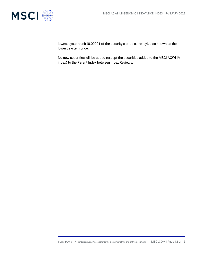

lowest system unit (0.00001 of the security's price currency), also known as the lowest system price.

No new securities will be added (except the securities added to the MSCI ACWI IMI index) to the Parent Index between Index Reviews.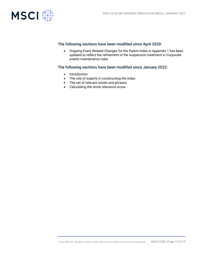

## The following sections have been modified since April 2020:

• Ongoing Event Related Changes for the Parent Index in Appendix 1 has been updated to reflect the refinement of the suspension treatment in Corporate events maintenance rules

## The following sections have been modified since January 2022:

- Introduction
- The role of experts in constructing the Index
- The set of relevant words and phrases
- Calculating the stock relevance score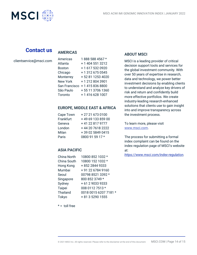

# **Contact us**

## AMERICAS

clientservice@msci.com

| Americas        | 1888 588 4567 *  |
|-----------------|------------------|
| Atlanta         | + 1 404 551 3212 |
| Boston          | +1 617 532 0920  |
| Chicago         | + 1 312 675 0545 |
| Monterrey       | +52 81 1253 4020 |
| <b>New York</b> | +12128043901     |
| San Francisco   | +14158368800     |
| São Paulo       | +55 11 3706 1360 |
| Toronto         | +14166281007     |

## EUROPE, MIDDLE EAST & AFRICA

| Cape Town | +27216730100      |
|-----------|-------------------|
| Frankfurt | +49 69 133 859 00 |
| Geneva    | +41 22 817 9777   |
| London    | +44 20 7618 2222  |
| Milan     | +39 02 5849 0415  |
| Paris     | 0800 91 59 17 *   |

## ASIA PACIFIC

| <b>China North</b> | 10800 852 1032 *      |
|--------------------|-----------------------|
| China South        | 10800 152 1032 *      |
| Hong Kong          | +852 2844 9333        |
| Mumbai             | + 91 22 6784 9160     |
| Seoul              | 00798 8521 3392 *     |
| Singapore          | 800 852 3749 *        |
| Sydney             | + 61 2 9033 9333      |
| <b>Taipei</b>      | 008 0112 7513 *       |
| Thailand           | 0018 0015 6207 7181 * |
| Tokyo              | + 81 3 5290 1555      |

## ABOUT MSCI

MSCI is a leading provider of critical decision support tools and services for the global investment community. With over 50 years of expertise in research, data and technology, we power better investment decisions by enabling clients to understand and analyze key drivers of risk and return and confidently build more effective portfolios. We create industry-leading research-enhanced solutions that clients use to gain insight into and improve transparency across the investment process.

To learn more, please visit [www.msci.com.](http://www.msci.com/)

The process for submitting a formal index complaint can be found on the index regulation page of MSCI's website at:

*[https://www.msci.com/index-regulation.](https://www.msci.com/index-regulation)*

 $* =$  toll free